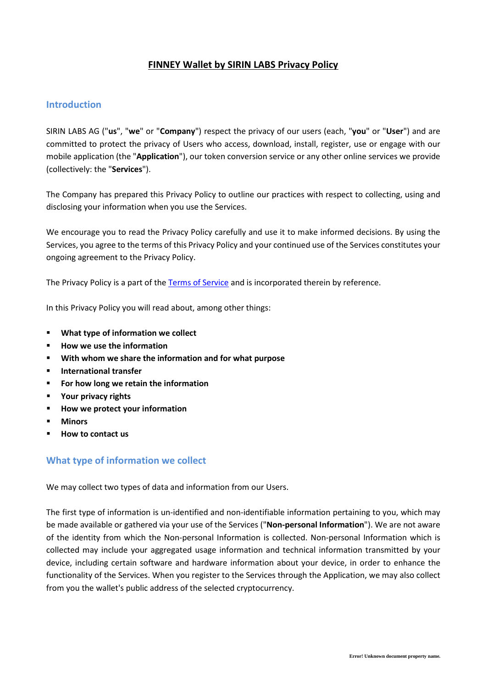# **FINNEY Wallet by SIRIN LABS Privacy Policy**

## **Introduction**

SIRIN LABS AG ("**us**", "**we**" or "**Company**") respect the privacy of our users (each, "**you**" or "**User**") and are committed to protect the privacy of Users who access, download, install, register, use or engage with our mobile application (the "**Application**"), our token conversion service or any other online services we provide (collectively: the "**Services**").

The Company has prepared this Privacy Policy to outline our practices with respect to collecting, using and disclosing your information when you use the Services.

We encourage you to read the Privacy Policy carefully and use it to make informed decisions. By using the Services, you agree to the terms of this Privacy Policy and your continued use of the Services constitutes your ongoing agreement to the Privacy Policy.

The Privacy Policy is a part of the [Terms of Service](https://www.sirinlabs.com/support/wallet/eula/en/) and is incorporated therein by reference.

In this Privacy Policy you will read about, among other things:

- **What type of information we collect**
- **How we use the information**
- **With whom we share the information and for what purpose**
- **International transfer**
- **For how long we retain the information**
- **Your privacy rights**
- **How we protect your information**
- **Minors**
- **How to contact us**

## **What type of information we collect**

We may collect two types of data and information from our Users.

The first type of information is un-identified and non-identifiable information pertaining to you, which may be made available or gathered via your use of the Services ("**Non-personal Information**"). We are not aware of the identity from which the Non-personal Information is collected. Non-personal Information which is collected may include your aggregated usage information and technical information transmitted by your device, including certain software and hardware information about your device, in order to enhance the functionality of the Services. When you register to the Services through the Application, we may also collect from you the wallet's public address of the selected cryptocurrency.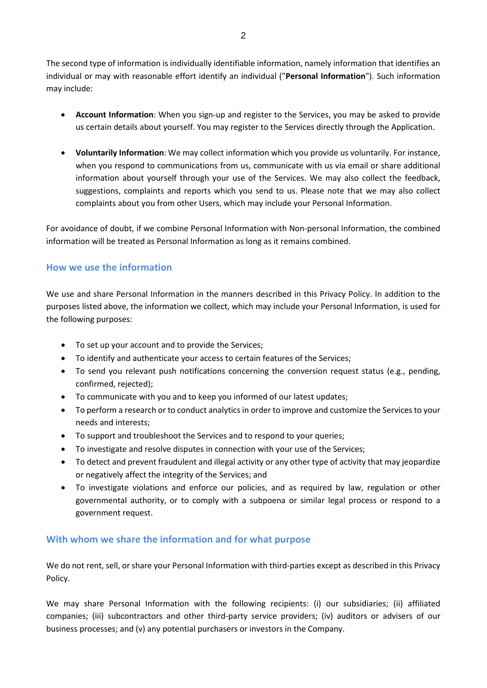The second type of information is individually identifiable information, namely information that identifies an individual or may with reasonable effort identify an individual ("**Personal Information**"). Such information may include:

- **Account Information**: When you sign-up and register to the Services, you may be asked to provide us certain details about yourself. You may register to the Services directly through the Application.
- **Voluntarily Information**: We may collect information which you provide us voluntarily. For instance, when you respond to communications from us, communicate with us via email or share additional information about yourself through your use of the Services. We may also collect the feedback, suggestions, complaints and reports which you send to us. Please note that we may also collect complaints about you from other Users, which may include your Personal Information.

For avoidance of doubt, if we combine Personal Information with Non-personal Information, the combined information will be treated as Personal Information as long as it remains combined.

## **How we use the information**

We use and share Personal Information in the manners described in this Privacy Policy. In addition to the purposes listed above, the information we collect, which may include your Personal Information, is used for the following purposes:

- To set up your account and to provide the Services;
- To identify and authenticate your access to certain features of the Services;
- To send you relevant push notifications concerning the conversion request status (e.g., pending, confirmed, rejected);
- To communicate with you and to keep you informed of our latest updates;
- To perform a research or to conduct analytics in order to improve and customize the Services to your needs and interests;
- To support and troubleshoot the Services and to respond to your queries;
- To investigate and resolve disputes in connection with your use of the Services;
- To detect and prevent fraudulent and illegal activity or any other type of activity that may jeopardize or negatively affect the integrity of the Services; and
- To investigate violations and enforce our policies, and as required by law, regulation or other governmental authority, or to comply with a subpoena or similar legal process or respond to a government request.

## **With whom we share the information and for what purpose**

We do not rent, sell, or share your Personal Information with third-parties except as described in this Privacy Policy.

We may share Personal Information with the following recipients: (i) our subsidiaries; (ii) affiliated companies; (iii) subcontractors and other third-party service providers; (iv) auditors or advisers of our business processes; and (v) any potential purchasers or investors in the Company.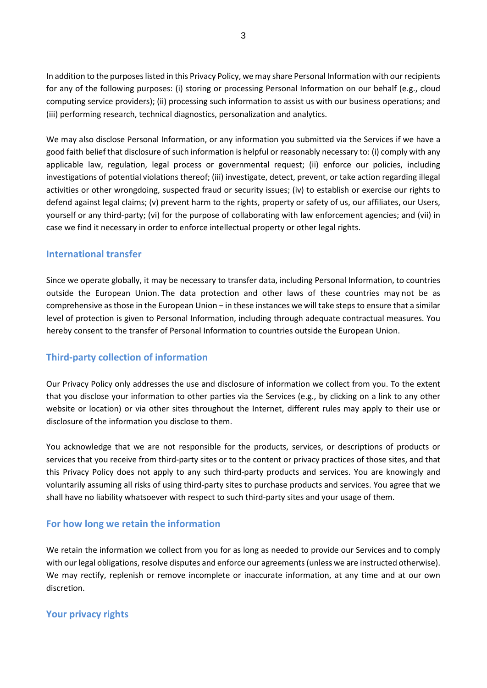In addition to the purposes listed in this Privacy Policy, we may share Personal Information with our recipients for any of the following purposes: (i) storing or processing Personal Information on our behalf (e.g., cloud computing service providers); (ii) processing such information to assist us with our business operations; and (iii) performing research, technical diagnostics, personalization and analytics.

We may also disclose Personal Information, or any information you submitted via the Services if we have a good faith belief that disclosure of such information is helpful or reasonably necessary to: (i) comply with any applicable law, regulation, legal process or governmental request; (ii) enforce our policies, including investigations of potential violations thereof; (iii) investigate, detect, prevent, or take action regarding illegal activities or other wrongdoing, suspected fraud or security issues; (iv) to establish or exercise our rights to defend against legal claims; (v) prevent harm to the rights, property or safety of us, our affiliates, our Users, yourself or any third-party; (vi) for the purpose of collaborating with law enforcement agencies; and (vii) in case we find it necessary in order to enforce intellectual property or other legal rights.

## **International transfer**

Since we operate globally, it may be necessary to transfer data, including Personal Information, to countries outside the European Union. The data protection and other laws of these countries may not be as comprehensive as those in the European Union − in these instances we will take steps to ensure that a similar level of protection is given to Personal Information, including through adequate contractual measures. You hereby consent to the transfer of Personal Information to countries outside the European Union.

# **Third-party collection of information**

Our Privacy Policy only addresses the use and disclosure of information we collect from you. To the extent that you disclose your information to other parties via the Services (e.g., by clicking on a link to any other website or location) or via other sites throughout the Internet, different rules may apply to their use or disclosure of the information you disclose to them.

You acknowledge that we are not responsible for the products, services, or descriptions of products or services that you receive from third-party sites or to the content or privacy practices of those sites, and that this Privacy Policy does not apply to any such third-party products and services. You are knowingly and voluntarily assuming all risks of using third-party sites to purchase products and services. You agree that we shall have no liability whatsoever with respect to such third-party sites and your usage of them.

## **For how long we retain the information**

We retain the information we collect from you for as long as needed to provide our Services and to comply with our legal obligations, resolve disputes and enforce our agreements (unless we are instructed otherwise). We may rectify, replenish or remove incomplete or inaccurate information, at any time and at our own discretion.

# **Your privacy rights**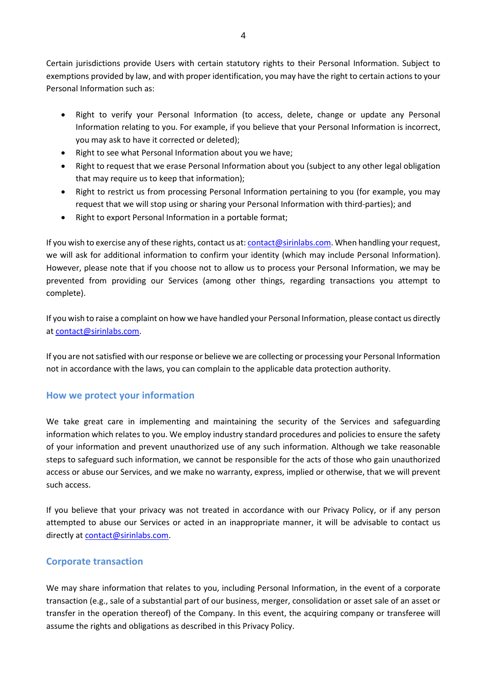Certain jurisdictions provide Users with certain statutory rights to their Personal Information. Subject to exemptions provided by law, and with proper identification, you may have the right to certain actions to your Personal Information such as:

- Right to verify your Personal Information (to access, delete, change or update any Personal Information relating to you. For example, if you believe that your Personal Information is incorrect, you may ask to have it corrected or deleted);
- Right to see what Personal Information about you we have;
- Right to request that we erase Personal Information about you (subject to any other legal obligation that may require us to keep that information);
- Right to restrict us from processing Personal Information pertaining to you (for example, you may request that we will stop using or sharing your Personal Information with third-parties); and
- Right to export Personal Information in a portable format;

If you wish to exercise any of these rights, contact us at: [contact@sirinlabs.com.](mailto:contact@sirinlabs.com) When handling your request, we will ask for additional information to confirm your identity (which may include Personal Information). However, please note that if you choose not to allow us to process your Personal Information, we may be prevented from providing our Services (among other things, regarding transactions you attempt to complete).

If you wish to raise a complaint on how we have handled your Personal Information, please contact us directly at [contact@sirinlabs.com.](mailto:contact@sirinlabs.com)

If you are not satisfied with our response or believe we are collecting or processing your Personal Information not in accordance with the laws, you can complain to the applicable data protection authority.

# **How we protect your information**

We take great care in implementing and maintaining the security of the Services and safeguarding information which relates to you. We employ industry standard procedures and policies to ensure the safety of your information and prevent unauthorized use of any such information. Although we take reasonable steps to safeguard such information, we cannot be responsible for the acts of those who gain unauthorized access or abuse our Services, and we make no warranty, express, implied or otherwise, that we will prevent such access.

If you believe that your privacy was not treated in accordance with our Privacy Policy, or if any person attempted to abuse our Services or acted in an inappropriate manner, it will be advisable to contact us directly at [contact@sirinlabs.com.](mailto:contact@sirinlabs.com)

## **Corporate transaction**

We may share information that relates to you, including Personal Information, in the event of a corporate transaction (e.g., sale of a substantial part of our business, merger, consolidation or asset sale of an asset or transfer in the operation thereof) of the Company. In this event, the acquiring company or transferee will assume the rights and obligations as described in this Privacy Policy.